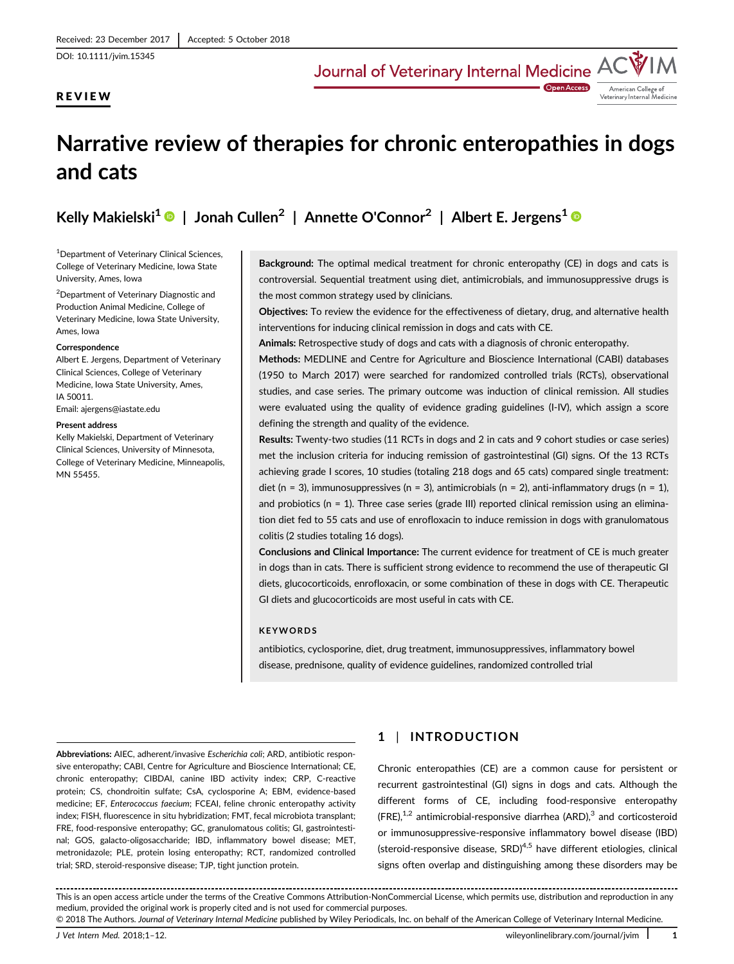DOI: 10.1111/jvim.15345

# REVIEW

American College of<br>Veterinary Internal Medicine

# Narrative review of therapies for chronic enteropathies in dogs and cats

Kelly Makielski<sup>1</sup> | Jonah Cullen<sup>2</sup> | Annette O'Connor<sup>2</sup> | Albert E. Jergens<sup>1</sup> ©

1 Department of Veterinary Clinical Sciences, College of Veterinary Medicine, Iowa State University, Ames, Iowa

<sup>2</sup>Department of Veterinary Diagnostic and Production Animal Medicine, College of Veterinary Medicine, Iowa State University, Ames, Iowa

#### **Correspondence**

Albert E. Jergens, Department of Veterinary Clinical Sciences, College of Veterinary Medicine, Iowa State University, Ames, IA 50011.

Email: [ajergens@iastate.edu](mailto:ajergens@iastate.edu)

#### Present address

Kelly Makielski, Department of Veterinary Clinical Sciences, University of Minnesota, College of Veterinary Medicine, Minneapolis, MN 55455.

Background: The optimal medical treatment for chronic enteropathy (CE) in dogs and cats is controversial. Sequential treatment using diet, antimicrobials, and immunosuppressive drugs is the most common strategy used by clinicians.

Objectives: To review the evidence for the effectiveness of dietary, drug, and alternative health interventions for inducing clinical remission in dogs and cats with CE.

Animals: Retrospective study of dogs and cats with a diagnosis of chronic enteropathy.

Methods: MEDLINE and Centre for Agriculture and Bioscience International (CABI) databases (1950 to March 2017) were searched for randomized controlled trials (RCTs), observational studies, and case series. The primary outcome was induction of clinical remission. All studies were evaluated using the quality of evidence grading guidelines (I-IV), which assign a score defining the strength and quality of the evidence.

Results: Twenty-two studies (11 RCTs in dogs and 2 in cats and 9 cohort studies or case series) met the inclusion criteria for inducing remission of gastrointestinal (GI) signs. Of the 13 RCTs achieving grade I scores, 10 studies (totaling 218 dogs and 65 cats) compared single treatment: diet (n = 3), immunosuppressives (n = 3), antimicrobials (n = 2), anti-inflammatory drugs (n = 1), and probiotics ( $n = 1$ ). Three case series (grade III) reported clinical remission using an elimination diet fed to 55 cats and use of enrofloxacin to induce remission in dogs with granulomatous colitis (2 studies totaling 16 dogs).

Conclusions and Clinical Importance: The current evidence for treatment of CE is much greater in dogs than in cats. There is sufficient strong evidence to recommend the use of therapeutic GI diets, glucocorticoids, enrofloxacin, or some combination of these in dogs with CE. Therapeutic GI diets and glucocorticoids are most useful in cats with CE.

# **KEYWORDS**

antibiotics, cyclosporine, diet, drug treatment, immunosuppressives, inflammatory bowel disease, prednisone, quality of evidence guidelines, randomized controlled trial

Abbreviations: AIEC, adherent/invasive Escherichia coli; ARD, antibiotic responsive enteropathy; CABI, Centre for Agriculture and Bioscience International; CE, chronic enteropathy; CIBDAI, canine IBD activity index; CRP, C-reactive protein; CS, chondroitin sulfate; CsA, cyclosporine A; EBM, evidence-based medicine; EF, Enterococcus faecium; FCEAI, feline chronic enteropathy activity index; FISH, fluorescence in situ hybridization; FMT, fecal microbiota transplant; FRE, food-responsive enteropathy; GC, granulomatous colitis; GI, gastrointestinal; GOS, galacto-oligosaccharide; IBD, inflammatory bowel disease; MET, metronidazole; PLE, protein losing enteropathy; RCT, randomized controlled trial; SRD, steroid-responsive disease; TJP, tight junction protein.

# 1 | INTRODUCTION

Chronic enteropathies (CE) are a common cause for persistent or recurrent gastrointestinal (GI) signs in dogs and cats. Although the different forms of CE, including food-responsive enteropathy  $(FRE),<sup>1,2</sup>$  antimicrobial-responsive diarrhea (ARD),<sup>3</sup> and corticosteroid or immunosuppressive-responsive inflammatory bowel disease (IBD) (steroid-responsive disease,  $SRD$ )<sup>4,5</sup> have different etiologies, clinical signs often overlap and distinguishing among these disorders may be

<sup>. . . . . . . . . . .</sup> This is an open access article under the terms of the [Creative Commons Attribution-NonCommercial](http://creativecommons.org/licenses/by-nc/4.0/) License, which permits use, distribution and reproduction in any medium, provided the original work is properly cited and is not used for commercial purposes.

<sup>© 2018</sup> The Authors. Journal of Veterinary Internal Medicine published by Wiley Periodicals, Inc. on behalf of the American College of Veterinary Internal Medicine.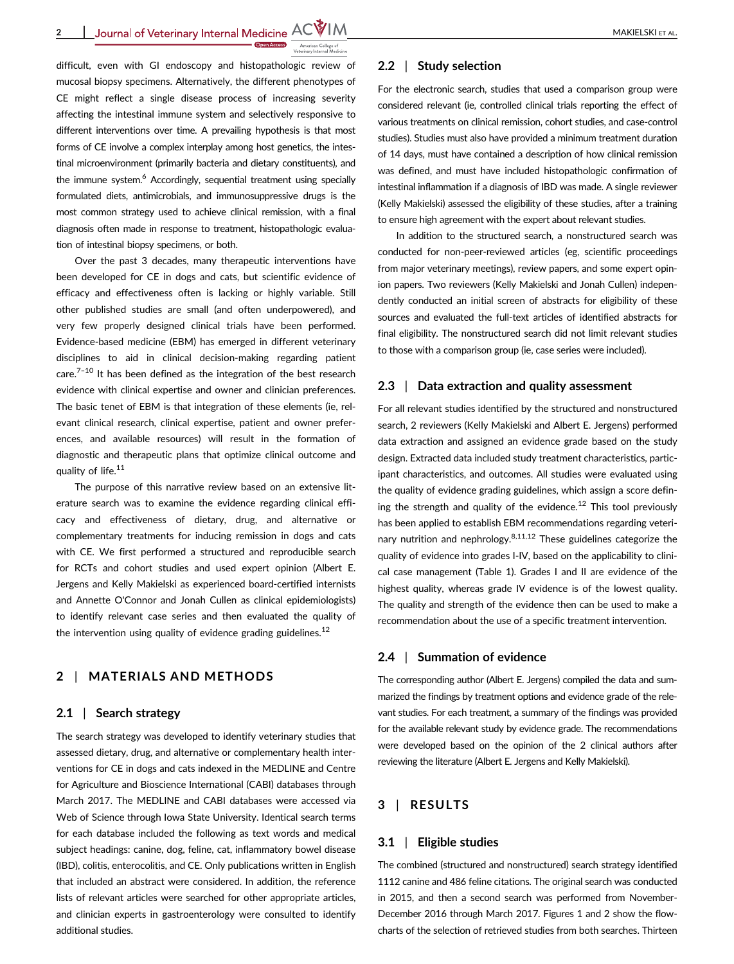

difficult, even with GI endoscopy and histopathologic review of mucosal biopsy specimens. Alternatively, the different phenotypes of CE might reflect a single disease process of increasing severity affecting the intestinal immune system and selectively responsive to different interventions over time. A prevailing hypothesis is that most forms of CE involve a complex interplay among host genetics, the intestinal microenvironment (primarily bacteria and dietary constituents), and the immune system.<sup>6</sup> Accordingly, sequential treatment using specially formulated diets, antimicrobials, and immunosuppressive drugs is the most common strategy used to achieve clinical remission, with a final diagnosis often made in response to treatment, histopathologic evaluation of intestinal biopsy specimens, or both.

Over the past 3 decades, many therapeutic interventions have been developed for CE in dogs and cats, but scientific evidence of efficacy and effectiveness often is lacking or highly variable. Still other published studies are small (and often underpowered), and very few properly designed clinical trials have been performed. Evidence-based medicine (EBM) has emerged in different veterinary disciplines to aid in clinical decision-making regarding patient care. $7-10$  It has been defined as the integration of the best research evidence with clinical expertise and owner and clinician preferences. The basic tenet of EBM is that integration of these elements (ie, relevant clinical research, clinical expertise, patient and owner preferences, and available resources) will result in the formation of diagnostic and therapeutic plans that optimize clinical outcome and quality of life.<sup>11</sup>

The purpose of this narrative review based on an extensive literature search was to examine the evidence regarding clinical efficacy and effectiveness of dietary, drug, and alternative or complementary treatments for inducing remission in dogs and cats with CE. We first performed a structured and reproducible search for RCTs and cohort studies and used expert opinion (Albert E. Jergens and Kelly Makielski as experienced board-certified internists and Annette O'Connor and Jonah Cullen as clinical epidemiologists) to identify relevant case series and then evaluated the quality of the intervention using quality of evidence grading guidelines.<sup>12</sup>

# 2 | MATERIALS AND METHODS

#### 2.1 | Search strategy

The search strategy was developed to identify veterinary studies that assessed dietary, drug, and alternative or complementary health interventions for CE in dogs and cats indexed in the MEDLINE and Centre for Agriculture and Bioscience International (CABI) databases through March 2017. The MEDLINE and CABI databases were accessed via Web of Science through Iowa State University. Identical search terms for each database included the following as text words and medical subject headings: canine, dog, feline, cat, inflammatory bowel disease (IBD), colitis, enterocolitis, and CE. Only publications written in English that included an abstract were considered. In addition, the reference lists of relevant articles were searched for other appropriate articles, and clinician experts in gastroenterology were consulted to identify additional studies.

## 2.2 | Study selection

For the electronic search, studies that used a comparison group were considered relevant (ie, controlled clinical trials reporting the effect of various treatments on clinical remission, cohort studies, and case-control studies). Studies must also have provided a minimum treatment duration of 14 days, must have contained a description of how clinical remission was defined, and must have included histopathologic confirmation of intestinal inflammation if a diagnosis of IBD was made. A single reviewer (Kelly Makielski) assessed the eligibility of these studies, after a training to ensure high agreement with the expert about relevant studies.

In addition to the structured search, a nonstructured search was conducted for non-peer-reviewed articles (eg, scientific proceedings from major veterinary meetings), review papers, and some expert opinion papers. Two reviewers (Kelly Makielski and Jonah Cullen) independently conducted an initial screen of abstracts for eligibility of these sources and evaluated the full-text articles of identified abstracts for final eligibility. The nonstructured search did not limit relevant studies to those with a comparison group (ie, case series were included).

## 2.3 | Data extraction and quality assessment

For all relevant studies identified by the structured and nonstructured search, 2 reviewers (Kelly Makielski and Albert E. Jergens) performed data extraction and assigned an evidence grade based on the study design. Extracted data included study treatment characteristics, participant characteristics, and outcomes. All studies were evaluated using the quality of evidence grading guidelines, which assign a score defining the strength and quality of the evidence.<sup>12</sup> This tool previously has been applied to establish EBM recommendations regarding veterinary nutrition and nephrology. $8,11,12$  These guidelines categorize the quality of evidence into grades I-IV, based on the applicability to clinical case management (Table 1). Grades I and II are evidence of the highest quality, whereas grade IV evidence is of the lowest quality. The quality and strength of the evidence then can be used to make a recommendation about the use of a specific treatment intervention.

## 2.4 | Summation of evidence

The corresponding author (Albert E. Jergens) compiled the data and summarized the findings by treatment options and evidence grade of the relevant studies. For each treatment, a summary of the findings was provided for the available relevant study by evidence grade. The recommendations were developed based on the opinion of the 2 clinical authors after reviewing the literature (Albert E. Jergens and Kelly Makielski).

# 3 | RESULTS

## 3.1 | Eligible studies

The combined (structured and nonstructured) search strategy identified 1112 canine and 486 feline citations. The original search was conducted in 2015, and then a second search was performed from November-December 2016 through March 2017. Figures 1 and 2 show the flowcharts of the selection of retrieved studies from both searches. Thirteen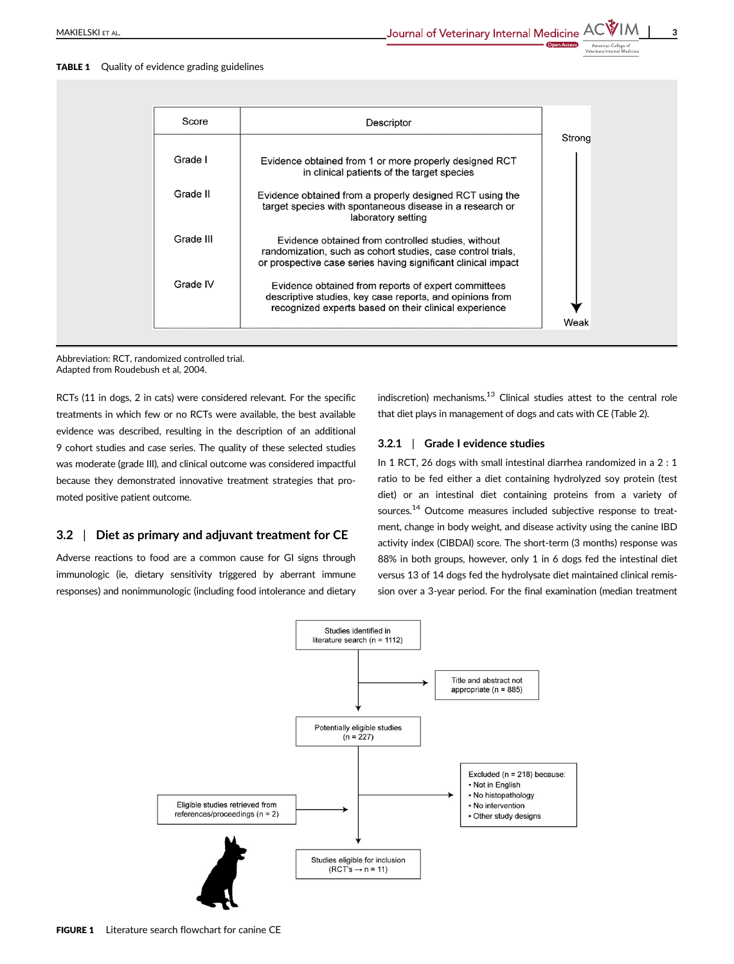#### TABLE 1 Quality of evidence grading guidelines

| Score     | Descriptor                                                                                                                                                                         |        |
|-----------|------------------------------------------------------------------------------------------------------------------------------------------------------------------------------------|--------|
|           |                                                                                                                                                                                    | Strong |
| Grade I   | Evidence obtained from 1 or more properly designed RCT<br>in clinical patients of the target species                                                                               |        |
| Grade II  | Evidence obtained from a properly designed RCT using the<br>target species with spontaneous disease in a research or<br>laboratory setting                                         |        |
| Grade III | Evidence obtained from controlled studies, without<br>randomization, such as cohort studies, case control trials,<br>or prospective case series having significant clinical impact |        |
| Grade IV  | Evidence obtained from reports of expert committees<br>descriptive studies, key case reports, and opinions from<br>recognized experts based on their clinical experience           | Weak   |

Abbreviation: RCT, randomized controlled trial. Adapted from Roudebush et al, 2004.

RCTs (11 in dogs, 2 in cats) were considered relevant. For the specific treatments in which few or no RCTs were available, the best available evidence was described, resulting in the description of an additional 9 cohort studies and case series. The quality of these selected studies was moderate (grade III), and clinical outcome was considered impactful because they demonstrated innovative treatment strategies that promoted positive patient outcome.

## 3.2 | Diet as primary and adjuvant treatment for CE

Adverse reactions to food are a common cause for GI signs through immunologic (ie, dietary sensitivity triggered by aberrant immune responses) and nonimmunologic (including food intolerance and dietary

indiscretion) mechanisms. $13$  Clinical studies attest to the central role that diet plays in management of dogs and cats with CE (Table 2).

# 3.2.1 | Grade I evidence studies

In 1 RCT, 26 dogs with small intestinal diarrhea randomized in a 2 : 1 ratio to be fed either a diet containing hydrolyzed soy protein (test diet) or an intestinal diet containing proteins from a variety of sources.14 Outcome measures included subjective response to treatment, change in body weight, and disease activity using the canine IBD activity index (CIBDAI) score. The short-term (3 months) response was 88% in both groups, however, only 1 in 6 dogs fed the intestinal diet versus 13 of 14 dogs fed the hydrolysate diet maintained clinical remission over a 3-year period. For the final examination (median treatment

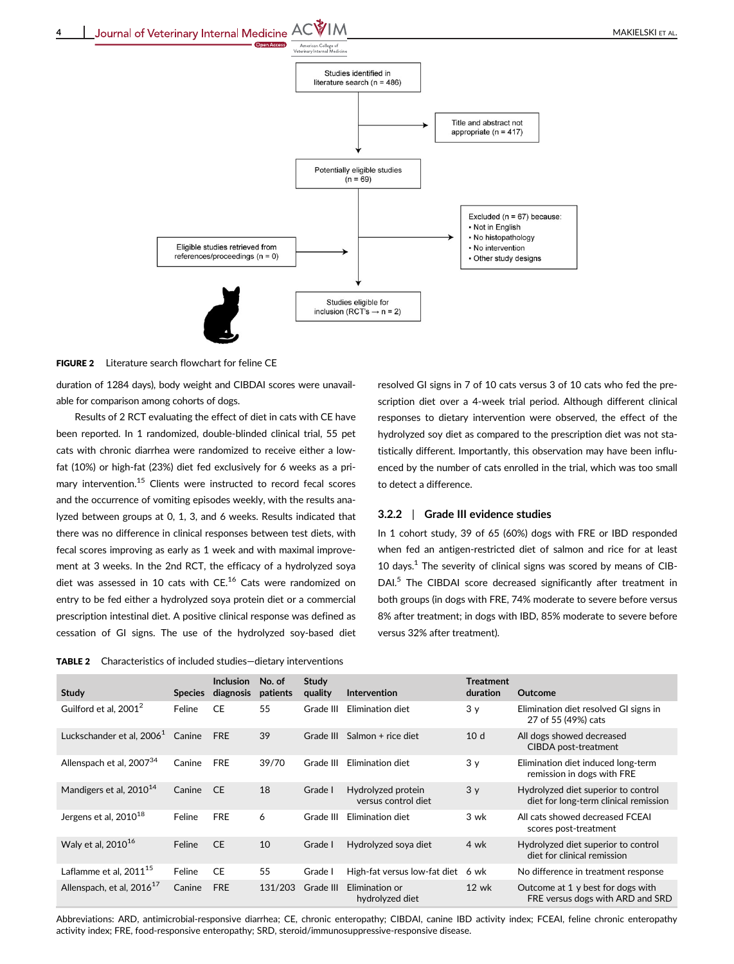



duration of 1284 days), body weight and CIBDAI scores were unavailable for comparison among cohorts of dogs.

Results of 2 RCT evaluating the effect of diet in cats with CE have been reported. In 1 randomized, double-blinded clinical trial, 55 pet cats with chronic diarrhea were randomized to receive either a lowfat (10%) or high-fat (23%) diet fed exclusively for 6 weeks as a primary intervention.<sup>15</sup> Clients were instructed to record fecal scores and the occurrence of vomiting episodes weekly, with the results analyzed between groups at 0, 1, 3, and 6 weeks. Results indicated that there was no difference in clinical responses between test diets, with fecal scores improving as early as 1 week and with maximal improvement at 3 weeks. In the 2nd RCT, the efficacy of a hydrolyzed soya diet was assessed in 10 cats with CE.<sup>16</sup> Cats were randomized on entry to be fed either a hydrolyzed soya protein diet or a commercial prescription intestinal diet. A positive clinical response was defined as cessation of GI signs. The use of the hydrolyzed soy-based diet

TABLE 2 Characteristics of included studies—dietary interventions

resolved GI signs in 7 of 10 cats versus 3 of 10 cats who fed the prescription diet over a 4-week trial period. Although different clinical responses to dietary intervention were observed, the effect of the hydrolyzed soy diet as compared to the prescription diet was not statistically different. Importantly, this observation may have been influenced by the number of cats enrolled in the trial, which was too small to detect a difference.

## 3.2.2 | Grade III evidence studies

In 1 cohort study, 39 of 65 (60%) dogs with FRE or IBD responded when fed an antigen-restricted diet of salmon and rice for at least 10 days.<sup>1</sup> The severity of clinical signs was scored by means of CIB-DAI.<sup>5</sup> The CIBDAI score decreased significantly after treatment in both groups (in dogs with FRE, 74% moderate to severe before versus 8% after treatment; in dogs with IBD, 85% moderate to severe before versus 32% after treatment).

| <b>Study</b>                          | <b>Species</b> | <b>Inclusion</b><br>diagnosis | No. of<br>patients | <b>Study</b><br>quality | <b>Intervention</b>                       | <b>Treatment</b><br>duration | Outcome                                                                      |
|---------------------------------------|----------------|-------------------------------|--------------------|-------------------------|-------------------------------------------|------------------------------|------------------------------------------------------------------------------|
| Guilford et al. 2001 <sup>2</sup>     | Feline         | <b>CE</b>                     | 55                 | Grade III               | Elimination diet                          | 3 <sub>y</sub>               | Elimination diet resolved GI signs in<br>27 of 55 (49%) cats                 |
| Luckschander et al, 2006 <sup>1</sup> | Canine         | <b>FRE</b>                    | 39                 | Grade III               | Salmon + rice diet                        | 10d                          | All dogs showed decreased<br>CIBDA post-treatment                            |
| Allenspach et al, 2007 <sup>34</sup>  | Canine         | <b>FRE</b>                    | 39/70              | Grade III               | Elimination diet                          | 3 <sub>y</sub>               | Elimination diet induced long-term<br>remission in dogs with FRE             |
| Mandigers et al, 2010 <sup>14</sup>   | Canine         | <b>CE</b>                     | 18                 | Grade I                 | Hydrolyzed protein<br>versus control diet | 3y                           | Hydrolyzed diet superior to control<br>diet for long-term clinical remission |
| Jergens et al, 2010 <sup>18</sup>     | Feline         | <b>FRE</b>                    | 6                  | Grade III               | Elimination diet                          | 3 wk                         | All cats showed decreased FCEAI<br>scores post-treatment                     |
| Walv et al. $2010^{16}$               | Feline         | <b>CE</b>                     | 10                 | Grade I                 | Hydrolyzed soya diet                      | 4 wk                         | Hydrolyzed diet superior to control<br>diet for clinical remission           |
| Laflamme et al, $2011^{15}$           | Feline         | CE                            | 55                 | Grade I                 | High-fat versus low-fat diet              | 6 wk                         | No difference in treatment response                                          |
| Allenspach, et al, 2016 <sup>17</sup> | Canine         | <b>FRE</b>                    | 131/203            | Grade III               | Elimination or<br>hydrolyzed diet         | $12 \text{ wk}$              | Outcome at 1 y best for dogs with<br>FRE versus dogs with ARD and SRD        |

Abbreviations: ARD, antimicrobial-responsive diarrhea; CE, chronic enteropathy; CIBDAI, canine IBD activity index; FCEAI, feline chronic enteropathy activity index; FRE, food-responsive enteropathy; SRD, steroid/immunosuppressive-responsive disease.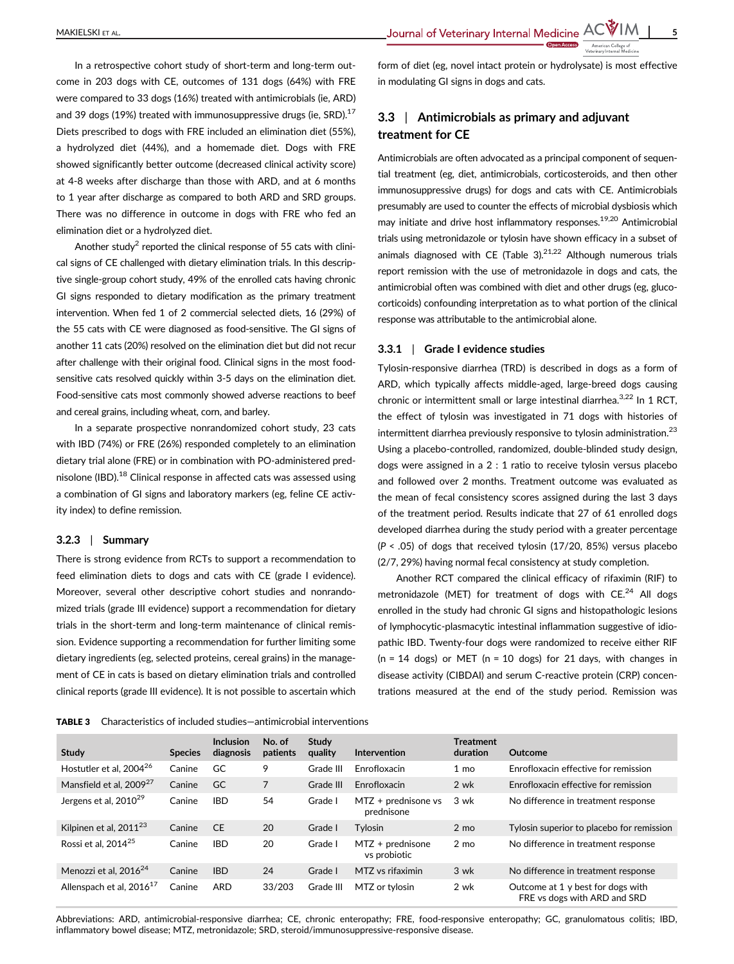In a retrospective cohort study of short-term and long-term outcome in 203 dogs with CE, outcomes of 131 dogs (64%) with FRE were compared to 33 dogs (16%) treated with antimicrobials (ie, ARD) and 39 dogs (19%) treated with immunosuppressive drugs (ie, SRD). $^{17}$ Diets prescribed to dogs with FRE included an elimination diet (55%), a hydrolyzed diet (44%), and a homemade diet. Dogs with FRE showed significantly better outcome (decreased clinical activity score) at 4-8 weeks after discharge than those with ARD, and at 6 months to 1 year after discharge as compared to both ARD and SRD groups. There was no difference in outcome in dogs with FRE who fed an elimination diet or a hydrolyzed diet.

Another study<sup>2</sup> reported the clinical response of 55 cats with clinical signs of CE challenged with dietary elimination trials. In this descriptive single-group cohort study, 49% of the enrolled cats having chronic GI signs responded to dietary modification as the primary treatment intervention. When fed 1 of 2 commercial selected diets, 16 (29%) of the 55 cats with CE were diagnosed as food-sensitive. The GI signs of another 11 cats (20%) resolved on the elimination diet but did not recur after challenge with their original food. Clinical signs in the most foodsensitive cats resolved quickly within 3-5 days on the elimination diet. Food-sensitive cats most commonly showed adverse reactions to beef and cereal grains, including wheat, corn, and barley.

In a separate prospective nonrandomized cohort study, 23 cats with IBD (74%) or FRE (26%) responded completely to an elimination dietary trial alone (FRE) or in combination with PO-administered prednisolone (IBD).<sup>18</sup> Clinical response in affected cats was assessed using a combination of GI signs and laboratory markers (eg, feline CE activity index) to define remission.

#### 3.2.3 | Summary

There is strong evidence from RCTs to support a recommendation to feed elimination diets to dogs and cats with CE (grade I evidence). Moreover, several other descriptive cohort studies and nonrandomized trials (grade III evidence) support a recommendation for dietary trials in the short-term and long-term maintenance of clinical remission. Evidence supporting a recommendation for further limiting some dietary ingredients (eg, selected proteins, cereal grains) in the management of CE in cats is based on dietary elimination trials and controlled clinical reports (grade III evidence). It is not possible to ascertain which

form of diet (eg, novel intact protein or hydrolysate) is most effective in modulating GI signs in dogs and cats.

# 3.3 | Antimicrobials as primary and adjuvant treatment for CE

Antimicrobials are often advocated as a principal component of sequential treatment (eg, diet, antimicrobials, corticosteroids, and then other immunosuppressive drugs) for dogs and cats with CE. Antimicrobials presumably are used to counter the effects of microbial dysbiosis which may initiate and drive host inflammatory responses.<sup>19,20</sup> Antimicrobial trials using metronidazole or tylosin have shown efficacy in a subset of animals diagnosed with CE (Table 3).<sup>21,22</sup> Although numerous trials report remission with the use of metronidazole in dogs and cats, the antimicrobial often was combined with diet and other drugs (eg, glucocorticoids) confounding interpretation as to what portion of the clinical response was attributable to the antimicrobial alone.

#### 3.3.1 | Grade I evidence studies

Tylosin-responsive diarrhea (TRD) is described in dogs as a form of ARD, which typically affects middle-aged, large-breed dogs causing chronic or intermittent small or large intestinal diarrhea. $3,22$  In 1 RCT, the effect of tylosin was investigated in 71 dogs with histories of intermittent diarrhea previously responsive to tylosin administration.<sup>23</sup> Using a placebo-controlled, randomized, double-blinded study design, dogs were assigned in a 2 : 1 ratio to receive tylosin versus placebo and followed over 2 months. Treatment outcome was evaluated as the mean of fecal consistency scores assigned during the last 3 days of the treatment period. Results indicate that 27 of 61 enrolled dogs developed diarrhea during the study period with a greater percentage  $(P < .05)$  of dogs that received tylosin (17/20, 85%) versus placebo (2/7, 29%) having normal fecal consistency at study completion.

Another RCT compared the clinical efficacy of rifaximin (RIF) to metronidazole (MET) for treatment of dogs with  $CE.^{24}$  All dogs enrolled in the study had chronic GI signs and histopathologic lesions of lymphocytic-plasmacytic intestinal inflammation suggestive of idiopathic IBD. Twenty-four dogs were randomized to receive either RIF  $(n = 14$  dogs) or MET  $(n = 10$  dogs) for 21 days, with changes in disease activity (CIBDAI) and serum C-reactive protein (CRP) concentrations measured at the end of the study period. Remission was

TABLE 3 Characteristics of included studies—antimicrobial interventions

| Study                                | <b>Species</b> | <b>Inclusion</b><br>diagnosis | No. of<br>patients | Study<br>quality | Intervention                        | <b>Treatment</b><br>duration | Outcome                                                           |
|--------------------------------------|----------------|-------------------------------|--------------------|------------------|-------------------------------------|------------------------------|-------------------------------------------------------------------|
| Hostutler et al, 2004 <sup>26</sup>  | Canine         | GC                            | 9                  | Grade III        | Enrofloxacin                        | $1 \text{ mo}$               | Enrofloxacin effective for remission                              |
| Mansfield et al, 2009 <sup>27</sup>  | Canine         | GC                            | 7                  | Grade III        | Enrofloxacin                        | 2 wk                         | Enrofloxacin effective for remission                              |
| Jergens et al, 2010 <sup>29</sup>    | Canine         | <b>IBD</b>                    | 54                 | Grade I          | $MTZ + prednisone vs$<br>prednisone | 3 wk                         | No difference in treatment response                               |
| Kilpinen et al, 2011 <sup>23</sup>   | Canine         | <b>CE</b>                     | 20                 | Grade I          | Tylosin                             | $2 \text{ mo}$               | Tylosin superior to placebo for remission                         |
| Rossi et al, 2014 <sup>25</sup>      | Canine         | <b>IBD</b>                    | 20                 | Grade I          | $MTZ + prednisone$<br>vs probiotic  | $2 \text{ mo}$               | No difference in treatment response                               |
| Menozzi et al, $2016^{24}$           | Canine         | <b>IBD</b>                    | 24                 | Grade I          | MTZ vs rifaximin                    | 3 wk                         | No difference in treatment response                               |
| Allenspach et al, 2016 <sup>17</sup> | Canine         | <b>ARD</b>                    | 33/203             | Grade III        | MTZ or tylosin                      | 2 wk                         | Outcome at 1 y best for dogs with<br>FRE vs dogs with ARD and SRD |

Abbreviations: ARD, antimicrobial-responsive diarrhea; CE, chronic enteropathy; FRE, food-responsive enteropathy; GC, granulomatous colitis; IBD, inflammatory bowel disease; MTZ, metronidazole; SRD, steroid/immunosuppressive-responsive disease.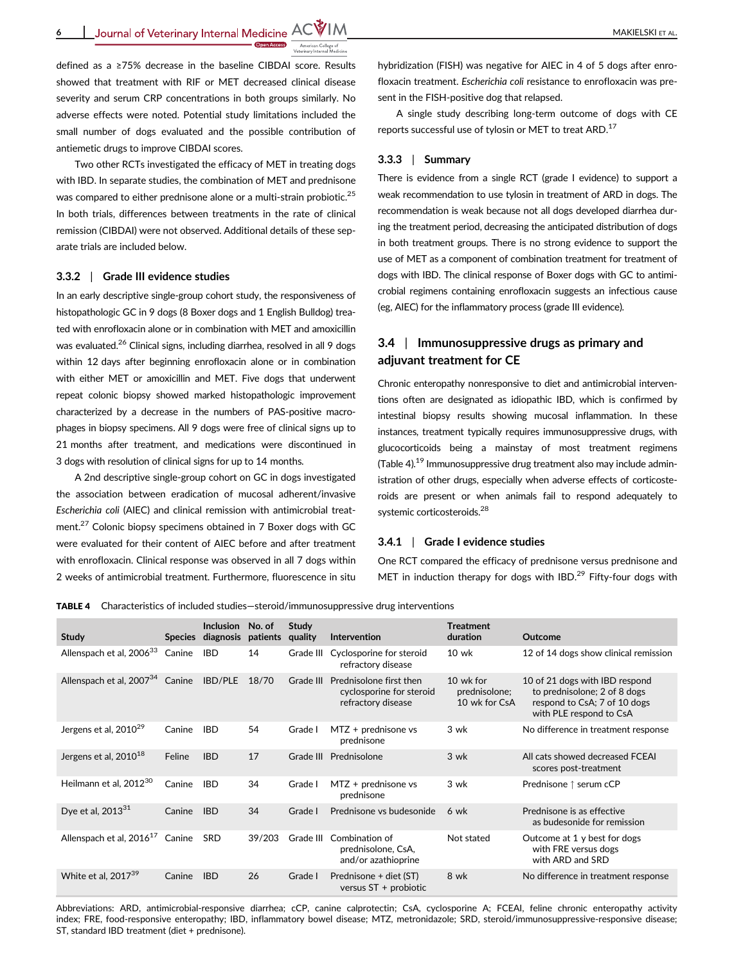defined as a ≥75% decrease in the baseline CIBDAI score. Results showed that treatment with RIF or MET decreased clinical disease severity and serum CRP concentrations in both groups similarly. No adverse effects were noted. Potential study limitations included the small number of dogs evaluated and the possible contribution of antiemetic drugs to improve CIBDAI scores.

Two other RCTs investigated the efficacy of MET in treating dogs with IBD. In separate studies, the combination of MET and prednisone was compared to either prednisone alone or a multi-strain probiotic.<sup>25</sup> In both trials, differences between treatments in the rate of clinical remission (CIBDAI) were not observed. Additional details of these separate trials are included below.

#### 3.3.2 | Grade III evidence studies

In an early descriptive single-group cohort study, the responsiveness of histopathologic GC in 9 dogs (8 Boxer dogs and 1 English Bulldog) treated with enrofloxacin alone or in combination with MET and amoxicillin was evaluated.<sup>26</sup> Clinical signs, including diarrhea, resolved in all 9 dogs within 12 days after beginning enrofloxacin alone or in combination with either MET or amoxicillin and MET. Five dogs that underwent repeat colonic biopsy showed marked histopathologic improvement characterized by a decrease in the numbers of PAS-positive macrophages in biopsy specimens. All 9 dogs were free of clinical signs up to 21 months after treatment, and medications were discontinued in 3 dogs with resolution of clinical signs for up to 14 months.

A 2nd descriptive single-group cohort on GC in dogs investigated the association between eradication of mucosal adherent/invasive Escherichia coli (AIEC) and clinical remission with antimicrobial treatment.<sup>27</sup> Colonic biopsy specimens obtained in 7 Boxer dogs with GC were evaluated for their content of AIEC before and after treatment with enrofloxacin. Clinical response was observed in all 7 dogs within 2 weeks of antimicrobial treatment. Furthermore, fluorescence in situ hybridization (FISH) was negative for AIEC in 4 of 5 dogs after enrofloxacin treatment. Escherichia coli resistance to enrofloxacin was present in the FISH-positive dog that relapsed.

A single study describing long-term outcome of dogs with CE reports successful use of tylosin or MET to treat ARD.<sup>17</sup>

#### 3.3.3 | Summary

There is evidence from a single RCT (grade I evidence) to support a weak recommendation to use tylosin in treatment of ARD in dogs. The recommendation is weak because not all dogs developed diarrhea during the treatment period, decreasing the anticipated distribution of dogs in both treatment groups. There is no strong evidence to support the use of MET as a component of combination treatment for treatment of dogs with IBD. The clinical response of Boxer dogs with GC to antimicrobial regimens containing enrofloxacin suggests an infectious cause (eg, AIEC) for the inflammatory process (grade III evidence).

# 3.4 | Immunosuppressive drugs as primary and adjuvant treatment for CE

Chronic enteropathy nonresponsive to diet and antimicrobial interventions often are designated as idiopathic IBD, which is confirmed by intestinal biopsy results showing mucosal inflammation. In these instances, treatment typically requires immunosuppressive drugs, with glucocorticoids being a mainstay of most treatment regimens (Table 4).19 Immunosuppressive drug treatment also may include administration of other drugs, especially when adverse effects of corticosteroids are present or when animals fail to respond adequately to systemic corticosteroids.<sup>28</sup>

#### 3.4.1 | Grade I evidence studies

One RCT compared the efficacy of prednisone versus prednisone and MET in induction therapy for dogs with IBD.<sup>29</sup> Fifty-four dogs with

TABLE 4 Characteristics of included studies—steroid/immunosuppressive drug interventions

| Study                                       | <b>Species</b> | <b>Inclusion</b><br>diagnosis | No. of<br>patients | <b>Study</b><br>quality | Intervention                                                              | <b>Treatment</b><br>duration                | Outcome                                                                                                                   |
|---------------------------------------------|----------------|-------------------------------|--------------------|-------------------------|---------------------------------------------------------------------------|---------------------------------------------|---------------------------------------------------------------------------------------------------------------------------|
| Allenspach et al, 2006 <sup>33</sup>        | Canine         | <b>IBD</b>                    | 14                 | Grade III               | Cyclosporine for steroid<br>refractory disease                            | 10 wk                                       | 12 of 14 dogs show clinical remission                                                                                     |
| Allenspach et al, 2007 <sup>34</sup>        | Canine         | <b>IBD/PLE</b>                | 18/70              | Grade III               | Prednisolone first then<br>cyclosporine for steroid<br>refractory disease | 10 wk for<br>prednisolone;<br>10 wk for CsA | 10 of 21 dogs with IBD respond<br>to prednisolone; 2 of 8 dogs<br>respond to CsA; 7 of 10 dogs<br>with PLE respond to CsA |
| Jergens et al, 2010 <sup>29</sup>           | Canine         | <b>IBD</b>                    | 54                 | Grade I                 | $MTZ + prednisone vs$<br>prednisone                                       | 3 wk                                        | No difference in treatment response                                                                                       |
| Jergens et al, 2010 <sup>18</sup>           | Feline         | <b>IBD</b>                    | 17                 |                         | Grade III Prednisolone                                                    | $3$ wk                                      | All cats showed decreased FCFAI<br>scores post-treatment                                                                  |
| Heilmann et al, 2012 <sup>30</sup>          | Canine         | <b>IBD</b>                    | 34                 | Grade I                 | MTZ + prednisone vs<br>prednisone                                         | 3 wk                                        | Prednisone ↑ serum cCP                                                                                                    |
| Dye et al, 2013 <sup>31</sup>               | Canine         | <b>IBD</b>                    | 34                 | Grade I                 | Prednisone vs budesonide                                                  | 6 wk                                        | Prednisone is as effective<br>as budesonide for remission                                                                 |
| Allenspach et al, 2016 <sup>17</sup> Canine |                | <b>SRD</b>                    | 39/203             | Grade III               | Combination of<br>prednisolone, CsA,<br>and/or azathioprine               | Not stated                                  | Outcome at 1 y best for dogs<br>with FRE versus dogs<br>with ARD and SRD                                                  |
| White et al, $2017^{39}$                    | Canine         | <b>IBD</b>                    | 26                 | Grade I                 | Prednisone + diet (ST)<br>versus $ST +$ probiotic                         | 8 wk                                        | No difference in treatment response                                                                                       |

Abbreviations: ARD, antimicrobial-responsive diarrhea; cCP, canine calprotectin; CsA, cyclosporine A; FCEAI, feline chronic enteropathy activity index; FRE, food-responsive enteropathy; IBD, inflammatory bowel disease; MTZ, metronidazole; SRD, steroid/immunosuppressive-responsive disease; ST, standard IBD treatment (diet + prednisone).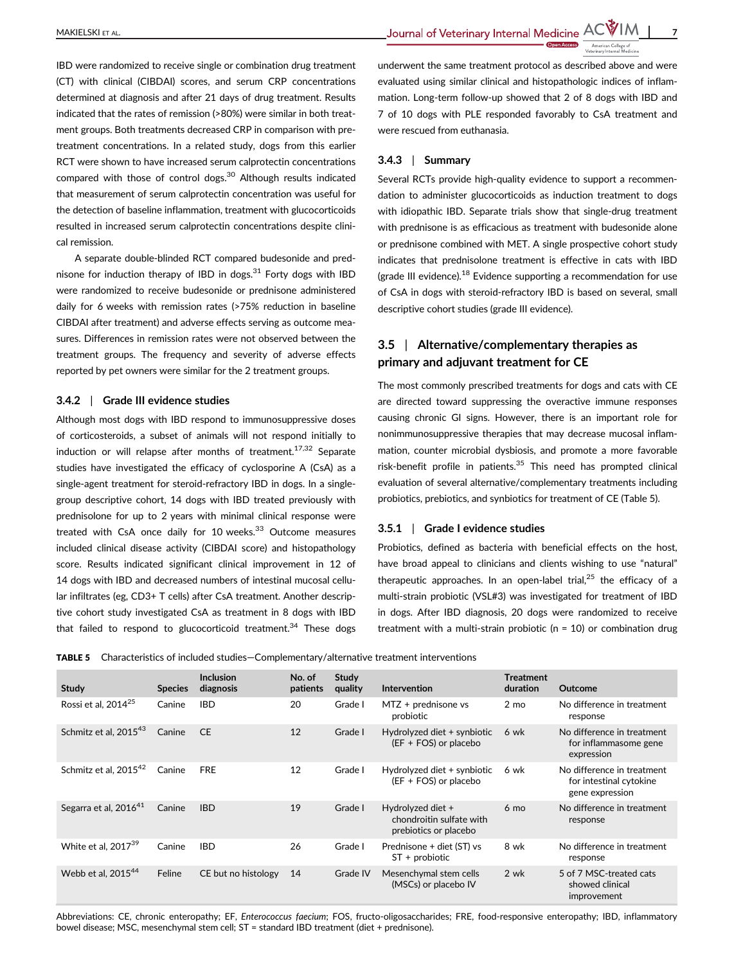IBD were randomized to receive single or combination drug treatment (CT) with clinical (CIBDAI) scores, and serum CRP concentrations determined at diagnosis and after 21 days of drug treatment. Results indicated that the rates of remission (>80%) were similar in both treatment groups. Both treatments decreased CRP in comparison with pretreatment concentrations. In a related study, dogs from this earlier RCT were shown to have increased serum calprotectin concentrations compared with those of control dogs.<sup>30</sup> Although results indicated that measurement of serum calprotectin concentration was useful for the detection of baseline inflammation, treatment with glucocorticoids resulted in increased serum calprotectin concentrations despite clinical remission.

A separate double-blinded RCT compared budesonide and prednisone for induction therapy of IBD in dogs. $31$  Forty dogs with IBD were randomized to receive budesonide or prednisone administered daily for 6 weeks with remission rates (>75% reduction in baseline CIBDAI after treatment) and adverse effects serving as outcome measures. Differences in remission rates were not observed between the treatment groups. The frequency and severity of adverse effects reported by pet owners were similar for the 2 treatment groups.

#### 3.4.2 | Grade III evidence studies

Although most dogs with IBD respond to immunosuppressive doses of corticosteroids, a subset of animals will not respond initially to induction or will relapse after months of treatment.<sup>17,32</sup> Separate studies have investigated the efficacy of cyclosporine A (CsA) as a single-agent treatment for steroid-refractory IBD in dogs. In a singlegroup descriptive cohort, 14 dogs with IBD treated previously with prednisolone for up to 2 years with minimal clinical response were treated with CsA once daily for  $10$  weeks.<sup>33</sup> Outcome measures included clinical disease activity (CIBDAI score) and histopathology score. Results indicated significant clinical improvement in 12 of 14 dogs with IBD and decreased numbers of intestinal mucosal cellular infiltrates (eg, CD3+ T cells) after CsA treatment. Another descriptive cohort study investigated CsA as treatment in 8 dogs with IBD that failed to respond to glucocorticoid treatment.<sup>34</sup> These dogs

underwent the same treatment protocol as described above and were evaluated using similar clinical and histopathologic indices of inflammation. Long-term follow-up showed that 2 of 8 dogs with IBD and 7 of 10 dogs with PLE responded favorably to CsA treatment and were rescued from euthanasia.

## 3.4.3 | Summary

Several RCTs provide high-quality evidence to support a recommendation to administer glucocorticoids as induction treatment to dogs with idiopathic IBD. Separate trials show that single-drug treatment with prednisone is as efficacious as treatment with budesonide alone or prednisone combined with MET. A single prospective cohort study indicates that prednisolone treatment is effective in cats with IBD (grade III evidence).<sup>18</sup> Evidence supporting a recommendation for use of CsA in dogs with steroid-refractory IBD is based on several, small descriptive cohort studies (grade III evidence).

# 3.5 | Alternative/complementary therapies as primary and adjuvant treatment for CE

The most commonly prescribed treatments for dogs and cats with CE are directed toward suppressing the overactive immune responses causing chronic GI signs. However, there is an important role for nonimmunosuppressive therapies that may decrease mucosal inflammation, counter microbial dysbiosis, and promote a more favorable risk-benefit profile in patients. $35$  This need has prompted clinical evaluation of several alternative/complementary treatments including probiotics, prebiotics, and synbiotics for treatment of CE (Table 5).

#### 3.5.1 | Grade I evidence studies

Probiotics, defined as bacteria with beneficial effects on the host, have broad appeal to clinicians and clients wishing to use "natural" therapeutic approaches. In an open-label trial, $25$  the efficacy of a multi-strain probiotic (VSL#3) was investigated for treatment of IBD in dogs. After IBD diagnosis, 20 dogs were randomized to receive treatment with a multi-strain probiotic ( $n = 10$ ) or combination drug

TABLE 5 Characteristics of included studies—Complementary/alternative treatment interventions

| <b>Study</b>                      | <b>Species</b> | <b>Inclusion</b><br>diagnosis | No. of<br>patients | Study<br>quality | <b>Intervention</b>                                                    | <b>Treatment</b><br>duration | <b>Outcome</b>                                                           |
|-----------------------------------|----------------|-------------------------------|--------------------|------------------|------------------------------------------------------------------------|------------------------------|--------------------------------------------------------------------------|
| Rossi et al, 2014 <sup>25</sup>   | Canine         | <b>IBD</b>                    | 20                 | Grade I          | $MTZ + prednisone vs$<br>probiotic                                     | $2 \text{ mo}$               | No difference in treatment<br>response                                   |
| Schmitz et al, 2015 <sup>43</sup> | Canine         | <b>CE</b>                     | 12                 | Grade I          | Hydrolyzed diet + synbiotic<br>(EF + FOS) or placebo                   | 6 wk                         | No difference in treatment<br>for inflammasome gene<br>expression        |
| Schmitz et al, $2015^{42}$        | Canine         | <b>FRE</b>                    | 12                 | Grade I          | Hydrolyzed diet + synbiotic<br>(EF + FOS) or placebo                   | 6 wk                         | No difference in treatment<br>for intestinal cytokine<br>gene expression |
| Segarra et al, 2016 <sup>41</sup> | Canine         | <b>IBD</b>                    | 19                 | Grade I          | Hydrolyzed diet +<br>chondroitin sulfate with<br>prebiotics or placebo | $6 \text{ mo}$               | No difference in treatment<br>response                                   |
| White et al. $2017^{39}$          | Canine         | <b>IBD</b>                    | 26                 | Grade I          | Prednisone + diet (ST) vs<br>$ST +$ probiotic                          | 8 wk                         | No difference in treatment<br>response                                   |
| Webb et al. $2015^{44}$           | Feline         | CE but no histology           | 14                 | Grade IV         | Mesenchymal stem cells<br>(MSCs) or placebo IV                         | 2 wk                         | 5 of 7 MSC-treated cats<br>showed clinical<br>improvement                |

Abbreviations: CE, chronic enteropathy; EF, Enterococcus faecium; FOS, fructo-oligosaccharides; FRE, food-responsive enteropathy; IBD, inflammatory bowel disease; MSC, mesenchymal stem cell; ST = standard IBD treatment (diet + prednisone).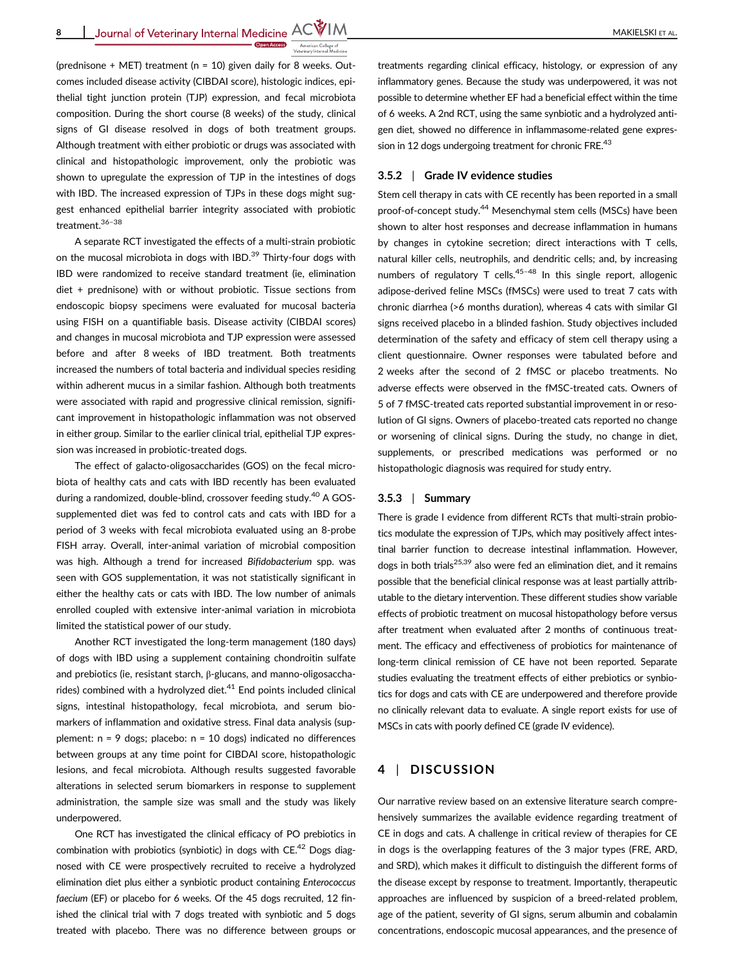(prednisone + MET) treatment (n = 10) given daily for 8 weeks. Outcomes included disease activity (CIBDAI score), histologic indices, epithelial tight junction protein (TJP) expression, and fecal microbiota composition. During the short course (8 weeks) of the study, clinical signs of GI disease resolved in dogs of both treatment groups. Although treatment with either probiotic or drugs was associated with clinical and histopathologic improvement, only the probiotic was shown to upregulate the expression of TJP in the intestines of dogs with IBD. The increased expression of TJPs in these dogs might suggest enhanced epithelial barrier integrity associated with probiotic treatment.36–<sup>38</sup>

A separate RCT investigated the effects of a multi-strain probiotic on the mucosal microbiota in dogs with IBD.<sup>39</sup> Thirty-four dogs with IBD were randomized to receive standard treatment (ie, elimination diet + prednisone) with or without probiotic. Tissue sections from endoscopic biopsy specimens were evaluated for mucosal bacteria using FISH on a quantifiable basis. Disease activity (CIBDAI scores) and changes in mucosal microbiota and TJP expression were assessed before and after 8 weeks of IBD treatment. Both treatments increased the numbers of total bacteria and individual species residing within adherent mucus in a similar fashion. Although both treatments were associated with rapid and progressive clinical remission, significant improvement in histopathologic inflammation was not observed in either group. Similar to the earlier clinical trial, epithelial TJP expression was increased in probiotic-treated dogs.

The effect of galacto-oligosaccharides (GOS) on the fecal microbiota of healthy cats and cats with IBD recently has been evaluated during a randomized, double-blind, crossover feeding study.<sup>40</sup> A GOSsupplemented diet was fed to control cats and cats with IBD for a period of 3 weeks with fecal microbiota evaluated using an 8-probe FISH array. Overall, inter-animal variation of microbial composition was high. Although a trend for increased Bifidobacterium spp. was seen with GOS supplementation, it was not statistically significant in either the healthy cats or cats with IBD. The low number of animals enrolled coupled with extensive inter-animal variation in microbiota limited the statistical power of our study.

Another RCT investigated the long-term management (180 days) of dogs with IBD using a supplement containing chondroitin sulfate and prebiotics (ie, resistant starch, β-glucans, and manno-oligosaccharides) combined with a hydrolyzed diet. $41$  End points included clinical signs, intestinal histopathology, fecal microbiota, and serum biomarkers of inflammation and oxidative stress. Final data analysis (supplement:  $n = 9$  dogs; placebo:  $n = 10$  dogs) indicated no differences between groups at any time point for CIBDAI score, histopathologic lesions, and fecal microbiota. Although results suggested favorable alterations in selected serum biomarkers in response to supplement administration, the sample size was small and the study was likely underpowered.

One RCT has investigated the clinical efficacy of PO prebiotics in combination with probiotics (synbiotic) in dogs with  $CE^{42}$  Dogs diagnosed with CE were prospectively recruited to receive a hydrolyzed elimination diet plus either a synbiotic product containing Enterococcus faecium (EF) or placebo for 6 weeks. Of the 45 dogs recruited, 12 finished the clinical trial with 7 dogs treated with synbiotic and 5 dogs treated with placebo. There was no difference between groups or

treatments regarding clinical efficacy, histology, or expression of any inflammatory genes. Because the study was underpowered, it was not possible to determine whether EF had a beneficial effect within the time of 6 weeks. A 2nd RCT, using the same synbiotic and a hydrolyzed antigen diet, showed no difference in inflammasome-related gene expression in 12 dogs undergoing treatment for chronic FRE.<sup>43</sup>

#### 3.5.2 | Grade IV evidence studies

Stem cell therapy in cats with CE recently has been reported in a small proof-of-concept study.<sup>44</sup> Mesenchymal stem cells (MSCs) have been shown to alter host responses and decrease inflammation in humans by changes in cytokine secretion; direct interactions with T cells, natural killer cells, neutrophils, and dendritic cells; and, by increasing numbers of regulatory T cells.<sup>45-48</sup> In this single report, allogenic adipose-derived feline MSCs (fMSCs) were used to treat 7 cats with chronic diarrhea (>6 months duration), whereas 4 cats with similar GI signs received placebo in a blinded fashion. Study objectives included determination of the safety and efficacy of stem cell therapy using a client questionnaire. Owner responses were tabulated before and 2 weeks after the second of 2 fMSC or placebo treatments. No adverse effects were observed in the fMSC-treated cats. Owners of 5 of 7 fMSC-treated cats reported substantial improvement in or resolution of GI signs. Owners of placebo-treated cats reported no change or worsening of clinical signs. During the study, no change in diet, supplements, or prescribed medications was performed or no histopathologic diagnosis was required for study entry.

#### 3.5.3 | Summary

There is grade I evidence from different RCTs that multi-strain probiotics modulate the expression of TJPs, which may positively affect intestinal barrier function to decrease intestinal inflammation. However, dogs in both trials<sup>25,39</sup> also were fed an elimination diet, and it remains possible that the beneficial clinical response was at least partially attributable to the dietary intervention. These different studies show variable effects of probiotic treatment on mucosal histopathology before versus after treatment when evaluated after 2 months of continuous treatment. The efficacy and effectiveness of probiotics for maintenance of long-term clinical remission of CE have not been reported. Separate studies evaluating the treatment effects of either prebiotics or synbiotics for dogs and cats with CE are underpowered and therefore provide no clinically relevant data to evaluate. A single report exists for use of MSCs in cats with poorly defined CE (grade IV evidence).

# 4 | DISCUSSION

Our narrative review based on an extensive literature search comprehensively summarizes the available evidence regarding treatment of CE in dogs and cats. A challenge in critical review of therapies for CE in dogs is the overlapping features of the 3 major types (FRE, ARD, and SRD), which makes it difficult to distinguish the different forms of the disease except by response to treatment. Importantly, therapeutic approaches are influenced by suspicion of a breed-related problem, age of the patient, severity of GI signs, serum albumin and cobalamin concentrations, endoscopic mucosal appearances, and the presence of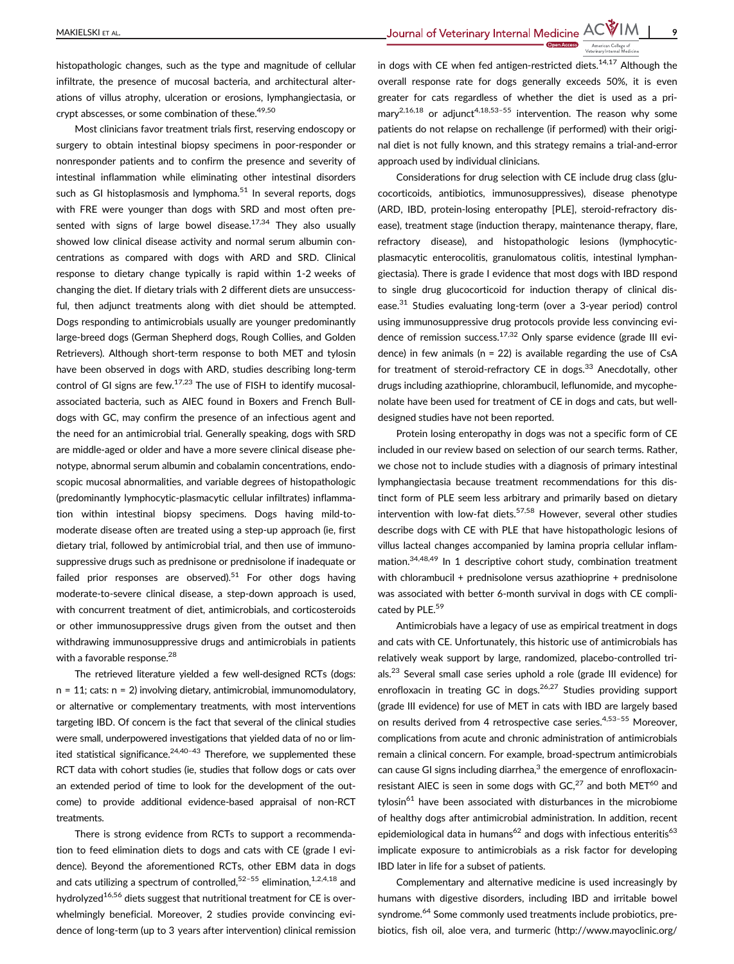histopathologic changes, such as the type and magnitude of cellular infiltrate, the presence of mucosal bacteria, and architectural alterations of villus atrophy, ulceration or erosions, lymphangiectasia, or crypt abscesses, or some combination of these.<sup>49,50</sup>

Most clinicians favor treatment trials first, reserving endoscopy or surgery to obtain intestinal biopsy specimens in poor-responder or nonresponder patients and to confirm the presence and severity of intestinal inflammation while eliminating other intestinal disorders such as GI histoplasmosis and lymphoma. $51$  In several reports, dogs with FRE were younger than dogs with SRD and most often presented with signs of large bowel disease.<sup>17,34</sup> They also usually showed low clinical disease activity and normal serum albumin concentrations as compared with dogs with ARD and SRD. Clinical response to dietary change typically is rapid within 1-2 weeks of changing the diet. If dietary trials with 2 different diets are unsuccessful, then adjunct treatments along with diet should be attempted. Dogs responding to antimicrobials usually are younger predominantly large-breed dogs (German Shepherd dogs, Rough Collies, and Golden Retrievers). Although short-term response to both MET and tylosin have been observed in dogs with ARD, studies describing long-term control of GI signs are few. $17,23$  The use of FISH to identify mucosalassociated bacteria, such as AIEC found in Boxers and French Bulldogs with GC, may confirm the presence of an infectious agent and the need for an antimicrobial trial. Generally speaking, dogs with SRD are middle-aged or older and have a more severe clinical disease phenotype, abnormal serum albumin and cobalamin concentrations, endoscopic mucosal abnormalities, and variable degrees of histopathologic (predominantly lymphocytic-plasmacytic cellular infiltrates) inflammation within intestinal biopsy specimens. Dogs having mild-tomoderate disease often are treated using a step-up approach (ie, first dietary trial, followed by antimicrobial trial, and then use of immunosuppressive drugs such as prednisone or prednisolone if inadequate or failed prior responses are observed).<sup>51</sup> For other dogs having moderate-to-severe clinical disease, a step-down approach is used, with concurrent treatment of diet, antimicrobials, and corticosteroids or other immunosuppressive drugs given from the outset and then withdrawing immunosuppressive drugs and antimicrobials in patients with a favorable response.<sup>28</sup>

The retrieved literature yielded a few well-designed RCTs (dogs: n = 11; cats: n = 2) involving dietary, antimicrobial, immunomodulatory, or alternative or complementary treatments, with most interventions targeting IBD. Of concern is the fact that several of the clinical studies were small, underpowered investigations that yielded data of no or limited statistical significance. $24,40-43$  Therefore, we supplemented these RCT data with cohort studies (ie, studies that follow dogs or cats over an extended period of time to look for the development of the outcome) to provide additional evidence-based appraisal of non-RCT treatments.

There is strong evidence from RCTs to support a recommendation to feed elimination diets to dogs and cats with CE (grade I evidence). Beyond the aforementioned RCTs, other EBM data in dogs and cats utilizing a spectrum of controlled,<sup>52–55</sup> elimination,<sup>1,2,4,18</sup> and hydrolyzed<sup>16,56</sup> diets suggest that nutritional treatment for CE is overwhelmingly beneficial. Moreover, 2 studies provide convincing evidence of long-term (up to 3 years after intervention) clinical remission

in dogs with CE when fed antigen-restricted diets. $14,17$  Although the overall response rate for dogs generally exceeds 50%, it is even greater for cats regardless of whether the diet is used as a primary<sup>2,16,18</sup> or adjunct<sup>4,18,53-55</sup> intervention. The reason why some patients do not relapse on rechallenge (if performed) with their original diet is not fully known, and this strategy remains a trial-and-error approach used by individual clinicians.

Considerations for drug selection with CE include drug class (glucocorticoids, antibiotics, immunosuppressives), disease phenotype (ARD, IBD, protein-losing enteropathy [PLE], steroid-refractory disease), treatment stage (induction therapy, maintenance therapy, flare, refractory disease), and histopathologic lesions (lymphocyticplasmacytic enterocolitis, granulomatous colitis, intestinal lymphangiectasia). There is grade I evidence that most dogs with IBD respond to single drug glucocorticoid for induction therapy of clinical disease.31 Studies evaluating long-term (over a 3-year period) control using immunosuppressive drug protocols provide less convincing evidence of remission success.<sup>17,32</sup> Only sparse evidence (grade III evidence) in few animals ( $n = 22$ ) is available regarding the use of CsA for treatment of steroid-refractory CE in dogs. $33$  Anecdotally, other drugs including azathioprine, chlorambucil, leflunomide, and mycophenolate have been used for treatment of CE in dogs and cats, but welldesigned studies have not been reported.

Protein losing enteropathy in dogs was not a specific form of CE included in our review based on selection of our search terms. Rather, we chose not to include studies with a diagnosis of primary intestinal lymphangiectasia because treatment recommendations for this distinct form of PLE seem less arbitrary and primarily based on dietary intervention with low-fat diets.<sup>57,58</sup> However, several other studies describe dogs with CE with PLE that have histopathologic lesions of villus lacteal changes accompanied by lamina propria cellular inflammation.34,48,49 In 1 descriptive cohort study, combination treatment with chlorambucil + prednisolone versus azathioprine + prednisolone was associated with better 6-month survival in dogs with CE complicated by PLE.<sup>59</sup>

Antimicrobials have a legacy of use as empirical treatment in dogs and cats with CE. Unfortunately, this historic use of antimicrobials has relatively weak support by large, randomized, placebo-controlled trials.23 Several small case series uphold a role (grade III evidence) for enrofloxacin in treating GC in dogs.  $26,27$  Studies providing support (grade III evidence) for use of MET in cats with IBD are largely based on results derived from 4 retrospective case series.<sup>4,53-55</sup> Moreover, complications from acute and chronic administration of antimicrobials remain a clinical concern. For example, broad-spectrum antimicrobials can cause GI signs including diarrhea, $3$  the emergence of enrofloxacinresistant AIEC is seen in some dogs with  $GC<sub>1</sub><sup>27</sup>$  and both MET<sup>60</sup> and tylosin $61$  have been associated with disturbances in the microbiome of healthy dogs after antimicrobial administration. In addition, recent epidemiological data in humans<sup>62</sup> and dogs with infectious enteritis<sup>63</sup> implicate exposure to antimicrobials as a risk factor for developing IBD later in life for a subset of patients.

Complementary and alternative medicine is used increasingly by humans with digestive disorders, including IBD and irritable bowel syndrome.<sup>64</sup> Some commonly used treatments include probiotics, prebiotics, fish oil, aloe vera, and turmeric [\(http://www.mayoclinic.org/](http://www.mayoclinic.org/diseases-conditions/inflammatory-bowel-disease/basics/alternative-medicine/con-20034908)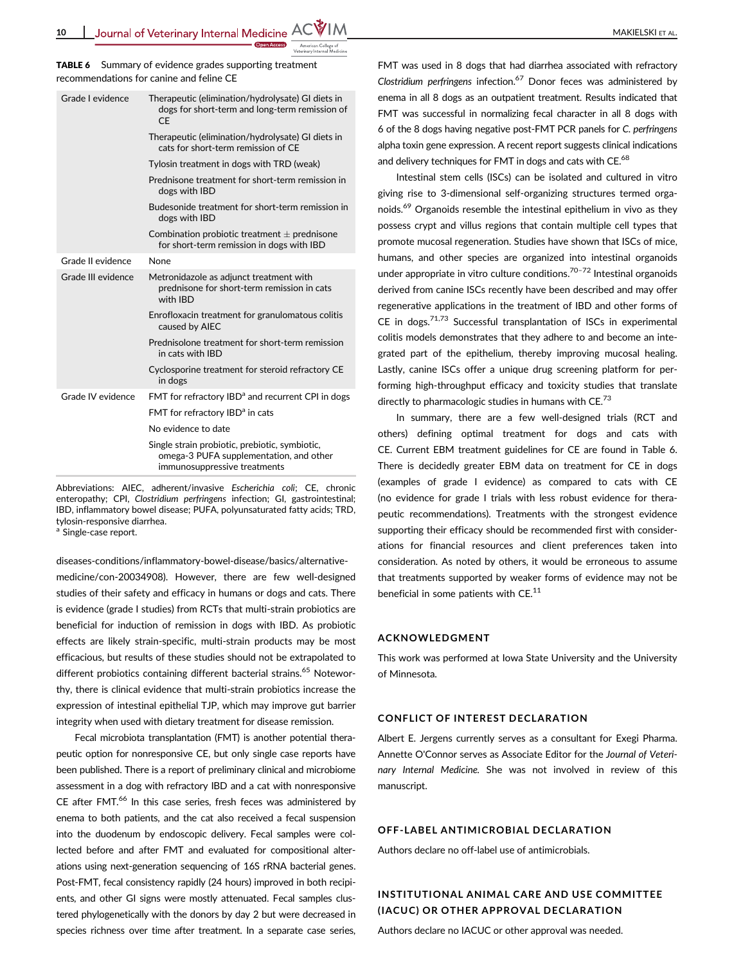\_Journal of Veterinary Internal Medicine  $\mathsf{ACWIM}_{\_\_\_\_\_\_$ 

TABLE 6 Summary of evidence grades supporting treatment recommendations for canine and feline CE

| Grade Levidence    | Therapeutic (elimination/hydrolysate) GI diets in<br>dogs for short-term and long-term remission of<br>C.F                |  |  |  |
|--------------------|---------------------------------------------------------------------------------------------------------------------------|--|--|--|
|                    | Therapeutic (elimination/hydrolysate) GI diets in<br>cats for short-term remission of CE                                  |  |  |  |
|                    | Tylosin treatment in dogs with TRD (weak)                                                                                 |  |  |  |
|                    | Prednisone treatment for short-term remission in<br>dogs with IBD                                                         |  |  |  |
|                    | Budesonide treatment for short-term remission in<br>dogs with IBD                                                         |  |  |  |
|                    | Combination probiotic treatment $\pm$ prednisone<br>for short-term remission in dogs with IBD                             |  |  |  |
| Grade II evidence  | None                                                                                                                      |  |  |  |
| Grade III evidence | Metronidazole as adjunct treatment with<br>prednisone for short-term remission in cats<br>with IBD                        |  |  |  |
|                    | Enrofloxacin treatment for granulomatous colitis<br>caused by AIEC                                                        |  |  |  |
|                    | Prednisolone treatment for short-term remission<br>in cats with IBD                                                       |  |  |  |
|                    | Cyclosporine treatment for steroid refractory CE<br>in dogs                                                               |  |  |  |
| Grade IV evidence  | FMT for refractory IBD <sup>a</sup> and recurrent CPI in dogs                                                             |  |  |  |
|                    | FMT for refractory IBD <sup>a</sup> in cats                                                                               |  |  |  |
|                    | No evidence to date                                                                                                       |  |  |  |
|                    | Single strain probiotic, prebiotic, symbiotic,<br>omega-3 PUFA supplementation, and other<br>immunosuppressive treatments |  |  |  |

Abbreviations: AIEC, adherent/invasive Escherichia coli; CE, chronic enteropathy; CPI, Clostridium perfringens infection; GI, gastrointestinal; IBD, inflammatory bowel disease; PUFA, polyunsaturated fatty acids; TRD, tylosin-responsive diarrhea.

<sup>a</sup> Single-case report.

[diseases-conditions/inflammatory-bowel-disease/basics/alternative](http://www.mayoclinic.org/diseases-conditions/inflammatory-bowel-disease/basics/alternative-medicine/con-20034908)[medicine/con-20034908](http://www.mayoclinic.org/diseases-conditions/inflammatory-bowel-disease/basics/alternative-medicine/con-20034908)). However, there are few well-designed studies of their safety and efficacy in humans or dogs and cats. There is evidence (grade I studies) from RCTs that multi-strain probiotics are beneficial for induction of remission in dogs with IBD. As probiotic effects are likely strain-specific, multi-strain products may be most efficacious, but results of these studies should not be extrapolated to different probiotics containing different bacterial strains.<sup>65</sup> Noteworthy, there is clinical evidence that multi-strain probiotics increase the expression of intestinal epithelial TJP, which may improve gut barrier integrity when used with dietary treatment for disease remission.

Fecal microbiota transplantation (FMT) is another potential therapeutic option for nonresponsive CE, but only single case reports have been published. There is a report of preliminary clinical and microbiome assessment in a dog with refractory IBD and a cat with nonresponsive CE after FMT.<sup>66</sup> In this case series, fresh feces was administered by enema to both patients, and the cat also received a fecal suspension into the duodenum by endoscopic delivery. Fecal samples were collected before and after FMT and evaluated for compositional alterations using next-generation sequencing of 16S rRNA bacterial genes. Post-FMT, fecal consistency rapidly (24 hours) improved in both recipients, and other GI signs were mostly attenuated. Fecal samples clustered phylogenetically with the donors by day 2 but were decreased in species richness over time after treatment. In a separate case series,

FMT was used in 8 dogs that had diarrhea associated with refractory Clostridium perfringens infection.<sup>67</sup> Donor feces was administered by enema in all 8 dogs as an outpatient treatment. Results indicated that FMT was successful in normalizing fecal character in all 8 dogs with 6 of the 8 dogs having negative post-FMT PCR panels for C. perfringens alpha toxin gene expression. A recent report suggests clinical indications and delivery techniques for FMT in dogs and cats with CE.<sup>68</sup>

Intestinal stem cells (ISCs) can be isolated and cultured in vitro giving rise to 3-dimensional self-organizing structures termed organoids.69 Organoids resemble the intestinal epithelium in vivo as they possess crypt and villus regions that contain multiple cell types that promote mucosal regeneration. Studies have shown that ISCs of mice, humans, and other species are organized into intestinal organoids under appropriate in vitro culture conditions.<sup>70-72</sup> Intestinal organoids derived from canine ISCs recently have been described and may offer regenerative applications in the treatment of IBD and other forms of CE in dogs. $71,73$  Successful transplantation of ISCs in experimental colitis models demonstrates that they adhere to and become an integrated part of the epithelium, thereby improving mucosal healing. Lastly, canine ISCs offer a unique drug screening platform for performing high-throughput efficacy and toxicity studies that translate directly to pharmacologic studies in humans with CE.<sup>73</sup>

In summary, there are a few well-designed trials (RCT and others) defining optimal treatment for dogs and cats with CE. Current EBM treatment guidelines for CE are found in Table 6. There is decidedly greater EBM data on treatment for CE in dogs (examples of grade I evidence) as compared to cats with CE (no evidence for grade I trials with less robust evidence for therapeutic recommendations). Treatments with the strongest evidence supporting their efficacy should be recommended first with considerations for financial resources and client preferences taken into consideration. As noted by others, it would be erroneous to assume that treatments supported by weaker forms of evidence may not be beneficial in some patients with  $CE.^{11}$ 

#### ACKNOWLEDGMENT

This work was performed at Iowa State University and the University of Minnesota.

#### CONFLICT OF INTEREST DECLARATION

Albert E. Jergens currently serves as a consultant for Exegi Pharma. Annette O'Connor serves as Associate Editor for the Journal of Veterinary Internal Medicine. She was not involved in review of this manuscript.

# OFF-LABEL ANTIMICROBIAL DECLARATION

Authors declare no off-label use of antimicrobials.

# INSTITUTIONAL ANIMAL CARE AND USE COMMITTEE (IACUC) OR OTHER APPROVAL DECLARATION

Authors declare no IACUC or other approval was needed.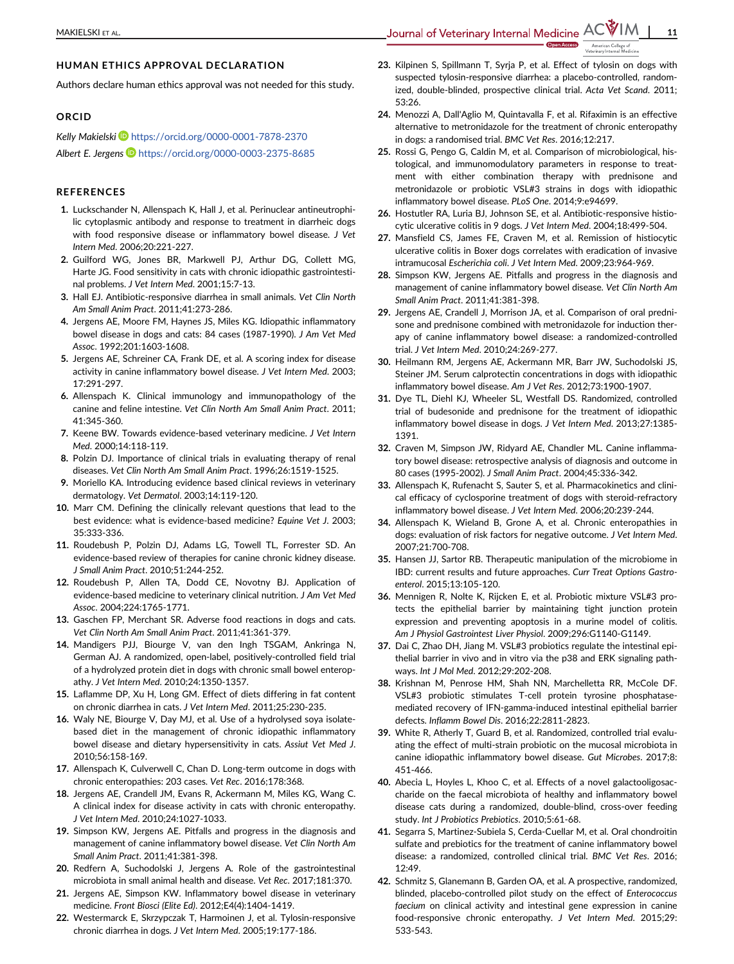# HUMAN ETHICS APPROVAL DECLARATION

Authors declare human ethics approval was not needed for this study.

# ORCID

Kelly Makielski <https://orcid.org/0000-0001-7878-2370> Albert E. Jergens <https://orcid.org/0000-0003-2375-8685>

#### **REFERENCES**

- 1. Luckschander N, Allenspach K, Hall J, et al. Perinuclear antineutrophilic cytoplasmic antibody and response to treatment in diarrheic dogs with food responsive disease or inflammatory bowel disease. J Vet Intern Med. 2006;20:221-227.
- 2. Guilford WG, Jones BR, Markwell PJ, Arthur DG, Collett MG, Harte JG. Food sensitivity in cats with chronic idiopathic gastrointestinal problems. J Vet Intern Med. 2001;15:7-13.
- 3. Hall EJ. Antibiotic-responsive diarrhea in small animals. Vet Clin North Am Small Anim Pract. 2011;41:273-286.
- 4. Jergens AE, Moore FM, Haynes JS, Miles KG. Idiopathic inflammatory bowel disease in dogs and cats: 84 cases (1987-1990). J Am Vet Med Assoc. 1992;201:1603-1608.
- 5. Jergens AE, Schreiner CA, Frank DE, et al. A scoring index for disease activity in canine inflammatory bowel disease. J Vet Intern Med. 2003; 17:291-297.
- 6. Allenspach K. Clinical immunology and immunopathology of the canine and feline intestine. Vet Clin North Am Small Anim Pract. 2011; 41:345-360.
- 7. Keene BW. Towards evidence-based veterinary medicine. J Vet Intern Med. 2000;14:118-119.
- 8. Polzin DJ. Importance of clinical trials in evaluating therapy of renal diseases. Vet Clin North Am Small Anim Pract. 1996;26:1519-1525.
- 9. Moriello KA. Introducing evidence based clinical reviews in veterinary dermatology. Vet Dermatol. 2003;14:119-120.
- 10. Marr CM. Defining the clinically relevant questions that lead to the best evidence: what is evidence-based medicine? Equine Vet J. 2003; 35:333-336.
- 11. Roudebush P, Polzin DJ, Adams LG, Towell TL, Forrester SD. An evidence-based review of therapies for canine chronic kidney disease. J Small Anim Pract. 2010;51:244-252.
- 12. Roudebush P, Allen TA, Dodd CE, Novotny BJ. Application of evidence-based medicine to veterinary clinical nutrition. J Am Vet Med Assoc. 2004;224:1765-1771.
- 13. Gaschen FP, Merchant SR. Adverse food reactions in dogs and cats. Vet Clin North Am Small Anim Pract. 2011;41:361-379.
- 14. Mandigers PJJ, Biourge V, van den Ingh TSGAM, Ankringa N, German AJ. A randomized, open-label, positively-controlled field trial of a hydrolyzed protein diet in dogs with chronic small bowel enteropathy. J Vet Intern Med. 2010;24:1350-1357.
- 15. Laflamme DP, Xu H, Long GM. Effect of diets differing in fat content on chronic diarrhea in cats. J Vet Intern Med. 2011;25:230-235.
- 16. Waly NE, Biourge V, Day MJ, et al. Use of a hydrolysed soya isolatebased diet in the management of chronic idiopathic inflammatory bowel disease and dietary hypersensitivity in cats. Assiut Vet Med J. 2010;56:158-169.
- 17. Allenspach K, Culverwell C, Chan D. Long-term outcome in dogs with chronic enteropathies: 203 cases. Vet Rec. 2016;178:368.
- 18. Jergens AE, Crandell JM, Evans R, Ackermann M, Miles KG, Wang C. A clinical index for disease activity in cats with chronic enteropathy. J Vet Intern Med. 2010;24:1027-1033.
- 19. Simpson KW, Jergens AE. Pitfalls and progress in the diagnosis and management of canine inflammatory bowel disease. Vet Clin North Am Small Anim Pract. 2011;41:381-398.
- 20. Redfern A, Suchodolski J, Jergens A. Role of the gastrointestinal microbiota in small animal health and disease. Vet Rec. 2017;181:370.
- 21. Jergens AE, Simpson KW. Inflammatory bowel disease in veterinary medicine. Front Biosci (Elite Ed). 2012;E4(4):1404-1419.
- 22. Westermarck E, Skrzypczak T, Harmoinen J, et al. Tylosin-responsive chronic diarrhea in dogs. J Vet Intern Med. 2005;19:177-186.
- 23. Kilpinen S, Spillmann T, Syrja P, et al. Effect of tylosin on dogs with suspected tylosin-responsive diarrhea: a placebo-controlled, randomized, double-blinded, prospective clinical trial. Acta Vet Scand. 2011; 53:26.
- 24. Menozzi A, Dall'Aglio M, Quintavalla F, et al. Rifaximin is an effective alternative to metronidazole for the treatment of chronic enteropathy in dogs: a randomised trial. BMC Vet Res. 2016;12:217.
- 25. Rossi G, Pengo G, Caldin M, et al. Comparison of microbiological, histological, and immunomodulatory parameters in response to treatment with either combination therapy with prednisone and metronidazole or probiotic VSL#3 strains in dogs with idiopathic inflammatory bowel disease. PLoS One. 2014;9:e94699.
- 26. Hostutler RA, Luria BJ, Johnson SE, et al. Antibiotic-responsive histiocytic ulcerative colitis in 9 dogs. J Vet Intern Med. 2004;18:499-504.
- 27. Mansfield CS, James FE, Craven M, et al. Remission of histiocytic ulcerative colitis in Boxer dogs correlates with eradication of invasive intramucosal Escherichia coli. J Vet Intern Med. 2009;23:964-969.
- 28. Simpson KW, Jergens AE. Pitfalls and progress in the diagnosis and management of canine inflammatory bowel disease. Vet Clin North Am Small Anim Pract. 2011;41:381-398.
- 29. Jergens AE, Crandell J, Morrison JA, et al. Comparison of oral prednisone and prednisone combined with metronidazole for induction therapy of canine inflammatory bowel disease: a randomized-controlled trial. J Vet Intern Med. 2010;24:269-277.
- 30. Heilmann RM, Jergens AE, Ackermann MR, Barr JW, Suchodolski JS, Steiner JM. Serum calprotectin concentrations in dogs with idiopathic inflammatory bowel disease. Am J Vet Res. 2012;73:1900-1907.
- 31. Dye TL, Diehl KJ, Wheeler SL, Westfall DS. Randomized, controlled trial of budesonide and prednisone for the treatment of idiopathic inflammatory bowel disease in dogs. J Vet Intern Med. 2013;27:1385- 1391.
- 32. Craven M, Simpson JW, Ridyard AE, Chandler ML. Canine inflammatory bowel disease: retrospective analysis of diagnosis and outcome in 80 cases (1995-2002). J Small Anim Pract. 2004;45:336-342.
- 33. Allenspach K, Rufenacht S, Sauter S, et al. Pharmacokinetics and clinical efficacy of cyclosporine treatment of dogs with steroid-refractory inflammatory bowel disease. J Vet Intern Med. 2006;20:239-244.
- 34. Allenspach K, Wieland B, Grone A, et al. Chronic enteropathies in dogs: evaluation of risk factors for negative outcome. J Vet Intern Med. 2007;21:700-708.
- 35. Hansen JJ, Sartor RB. Therapeutic manipulation of the microbiome in IBD: current results and future approaches. Curr Treat Options Gastroenterol. 2015;13:105-120.
- 36. Mennigen R, Nolte K, Rijcken E, et al. Probiotic mixture VSL#3 protects the epithelial barrier by maintaining tight junction protein expression and preventing apoptosis in a murine model of colitis. Am J Physiol Gastrointest Liver Physiol. 2009;296:G1140-G1149.
- 37. Dai C, Zhao DH, Jiang M. VSL#3 probiotics regulate the intestinal epithelial barrier in vivo and in vitro via the p38 and ERK signaling pathways. Int J Mol Med. 2012;29:202-208.
- 38. Krishnan M, Penrose HM, Shah NN, Marchelletta RR, McCole DF. VSL#3 probiotic stimulates T-cell protein tyrosine phosphatasemediated recovery of IFN-gamma-induced intestinal epithelial barrier defects. Inflamm Bowel Dis. 2016;22:2811-2823.
- 39. White R, Atherly T, Guard B, et al. Randomized, controlled trial evaluating the effect of multi-strain probiotic on the mucosal microbiota in canine idiopathic inflammatory bowel disease. Gut Microbes. 2017;8: 451-466.
- 40. Abecia L, Hoyles L, Khoo C, et al. Effects of a novel galactooligosaccharide on the faecal microbiota of healthy and inflammatory bowel disease cats during a randomized, double-blind, cross-over feeding study. Int J Probiotics Prebiotics. 2010;5:61-68.
- 41. Segarra S, Martinez-Subiela S, Cerda-Cuellar M, et al. Oral chondroitin sulfate and prebiotics for the treatment of canine inflammatory bowel disease: a randomized, controlled clinical trial. BMC Vet Res. 2016;  $12.49$
- 42. Schmitz S, Glanemann B, Garden OA, et al. A prospective, randomized, blinded, placebo-controlled pilot study on the effect of Enterococcus faecium on clinical activity and intestinal gene expression in canine food-responsive chronic enteropathy. J Vet Intern Med. 2015;29: 533-543.